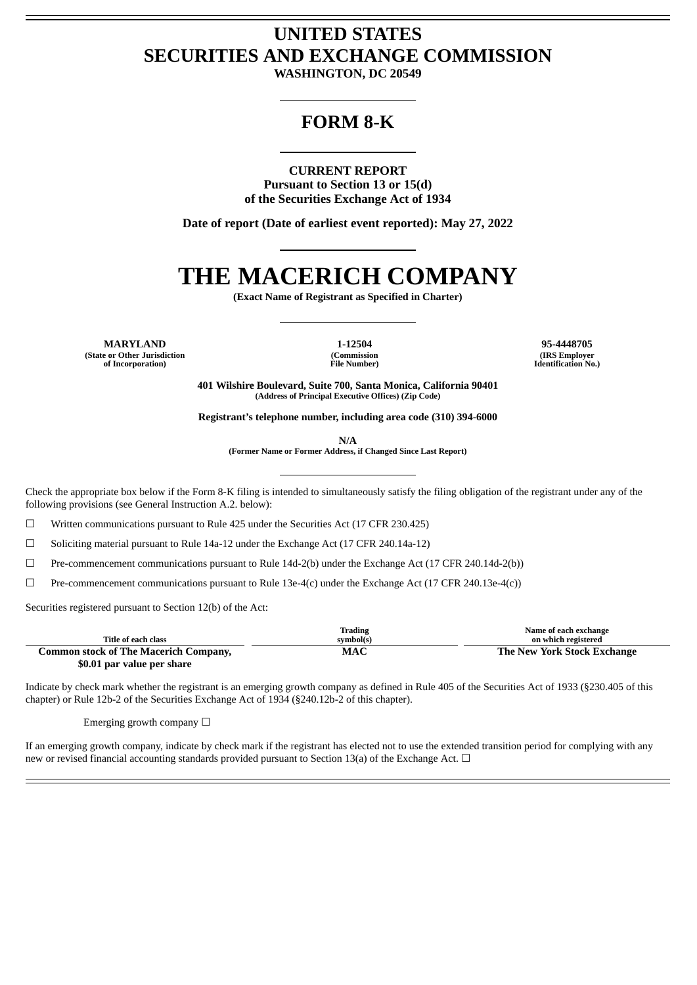## **UNITED STATES SECURITIES AND EXCHANGE COMMISSION**

**WASHINGTON, DC 20549**

### **FORM 8-K**

#### **CURRENT REPORT**

**Pursuant to Section 13 or 15(d) of the Securities Exchange Act of 1934**

**Date of report (Date of earliest event reported): May 27, 2022**

# **THE MACERICH COMPANY**

**(Exact Name of Registrant as Specified in Charter)**

**MARYLAND 1-12504 95-4448705 (State or Other Jurisdiction of Incorporation)**

**(Commission File Number)**

**(IRS Employer Identification No.)**

**401 Wilshire Boulevard, Suite 700, Santa Monica, California 90401 (Address of Principal Executive Offices) (Zip Code)**

**Registrant's telephone number, including area code (310) 394-6000**

**N/A**

**(Former Name or Former Address, if Changed Since Last Report)**

Check the appropriate box below if the Form 8-K filing is intended to simultaneously satisfy the filing obligation of the registrant under any of the following provisions (see General Instruction A.2. below):

☐ Written communications pursuant to Rule 425 under the Securities Act (17 CFR 230.425)

☐ Soliciting material pursuant to Rule 14a-12 under the Exchange Act (17 CFR 240.14a-12)

☐ Pre-commencement communications pursuant to Rule 14d-2(b) under the Exchange Act (17 CFR 240.14d-2(b))

 $\Box$  Pre-commencement communications pursuant to Rule 13e-4(c) under the Exchange Act (17 CFR 240.13e-4(c))

Securities registered pursuant to Section 12(b) of the Act:

|                                              | Trading   | Name of each exchange       |
|----------------------------------------------|-----------|-----------------------------|
| Title of each class                          | svmbol(s) | on which registered         |
| <b>Common stock of The Macerich Company,</b> | MAC       | The New York Stock Exchange |
| \$0.01 par value per share                   |           |                             |

Indicate by check mark whether the registrant is an emerging growth company as defined in Rule 405 of the Securities Act of 1933 (§230.405 of this chapter) or Rule 12b-2 of the Securities Exchange Act of 1934 (§240.12b-2 of this chapter).

Emerging growth company  $\Box$ 

If an emerging growth company, indicate by check mark if the registrant has elected not to use the extended transition period for complying with any new or revised financial accounting standards provided pursuant to Section 13(a) of the Exchange Act.  $\Box$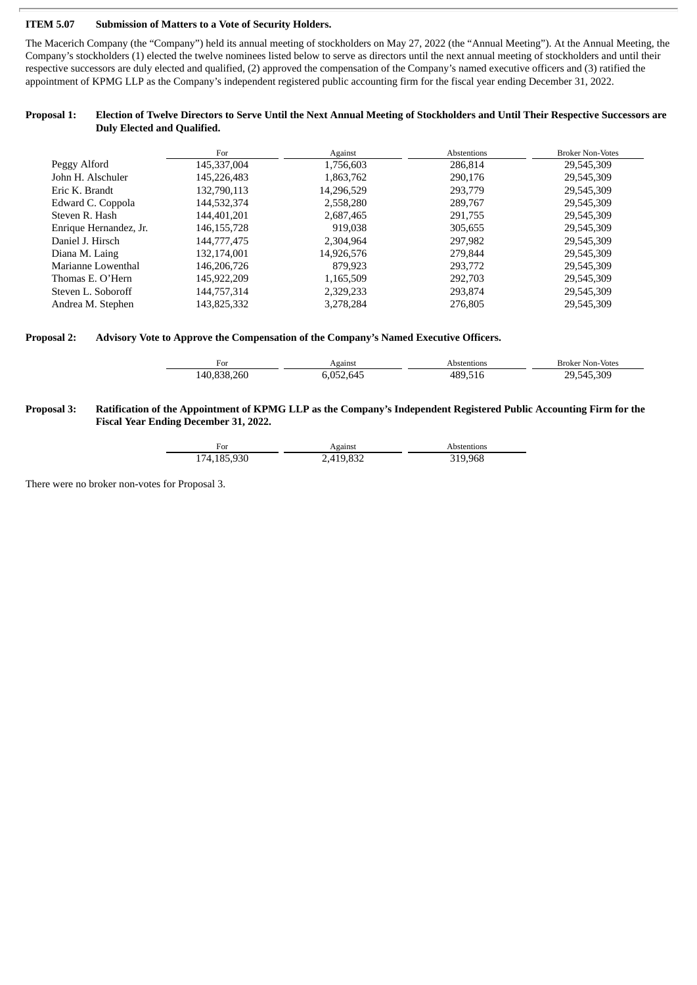#### **ITEM 5.07 Submission of Matters to a Vote of Security Holders.**

The Macerich Company (the "Company") held its annual meeting of stockholders on May 27, 2022 (the "Annual Meeting"). At the Annual Meeting, the Company's stockholders (1) elected the twelve nominees listed below to serve as directors until the next annual meeting of stockholders and until their respective successors are duly elected and qualified, (2) approved the compensation of the Company's named executive officers and (3) ratified the appointment of KPMG LLP as the Company's independent registered public accounting firm for the fiscal year ending December 31, 2022.

#### Proposal 1: Election of Twelve Directors to Serve Until the Next Annual Meeting of Stockholders and Until Their Respective Successors are **Duly Elected and Qualified.**

|                        | For           | Against    | Abstentions | <b>Broker Non-Votes</b> |
|------------------------|---------------|------------|-------------|-------------------------|
| Peggy Alford           | 145,337,004   | 1,756,603  | 286,814     | 29,545,309              |
| John H. Alschuler      | 145,226,483   | 1,863,762  | 290,176     | 29,545,309              |
| Eric K. Brandt         | 132,790,113   | 14,296,529 | 293,779     | 29,545,309              |
| Edward C. Coppola      | 144,532,374   | 2,558,280  | 289,767     | 29,545,309              |
| Steven R. Hash         | 144,401,201   | 2,687,465  | 291,755     | 29,545,309              |
| Enrique Hernandez, Jr. | 146, 155, 728 | 919.038    | 305,655     | 29,545,309              |
| Daniel J. Hirsch       | 144,777,475   | 2,304,964  | 297,982     | 29,545,309              |
| Diana M. Laing         | 132,174,001   | 14,926,576 | 279,844     | 29,545,309              |
| Marianne Lowenthal     | 146,206,726   | 879.923    | 293,772     | 29,545,309              |
| Thomas E. O'Hern       | 145,922,209   | 1,165,509  | 292,703     | 29,545,309              |
| Steven L. Soboroff     | 144,757,314   | 2,329,233  | 293,874     | 29,545,309              |
| Andrea M. Stephen      | 143,825,332   | 3,278,284  | 276,805     | 29,545,309              |

#### **Proposal 2: Advisory Vote to Approve the Compensation of the Company's Named Executive Officers.**

| For         | Against   | Abstentions | <b>Broker Non-Votes</b> |
|-------------|-----------|-------------|-------------------------|
| 140,838,260 | 6,052,645 | 489.516     | 29,545,309              |

#### Proposal 3: Ratification of the Appointment of KPMG LLP as the Company's Independent Registered Public Accounting Firm for the **Fiscal Year Ending December 31, 2022.**

| ≓or         | Against   | Abstentions |
|-------------|-----------|-------------|
| 174,185,930 | 2,419,832 | 319,968     |

There were no broker non-votes for Proposal 3.